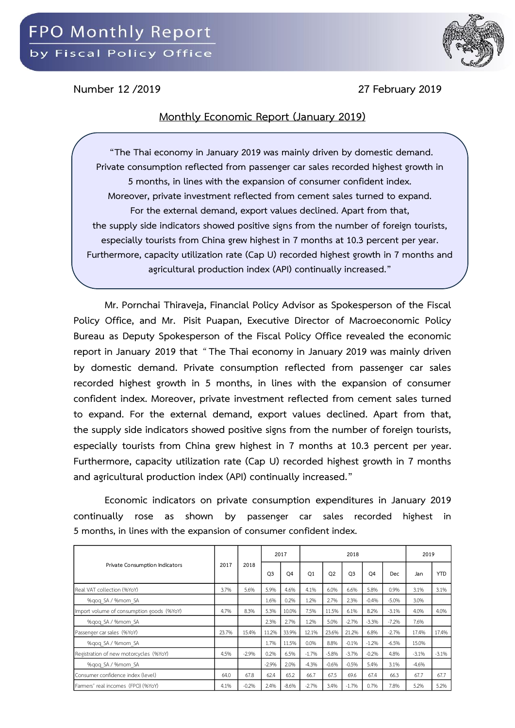

**Number 12 /2019 27 February 2019**

## **Monthly Economic Report (January 2019)**

**"The Thai economy in January 2019 was mainly driven by domestic demand. Private consumption reflected from passenger car sales recorded highest growth in 5 months, in lines with the expansion of consumer confident index. Moreover, private investment reflected from cement sales turned to expand. For the external demand, export values declined. Apart from that, the supply side indicators showed positive signs from the number of foreign tourists, especially tourists from China grew highest in 7 months at 10.3 percent per year. Furthermore, capacity utilization rate (Cap U) recorded highest growth in 7 months and agricultural production index (API) continually increased."**

**Mr. Pornchai Thiraveja, Financial Policy Advisor as Spokesperson of the Fiscal Policy Office, and Mr. Pisit Puapan, Executive Director of Macroeconomic Policy Bureau as Deputy Spokesperson of the Fiscal Policy Office revealed the economic report in January 2019 that** "**The Thai economy in January 2019 was mainly driven by domestic demand. Private consumption reflected from passenger car sales recorded highest growth in 5 months, in lines with the expansion of consumer confident index. Moreover, private investment reflected from cement sales turned to expand. For the external demand, export values declined. Apart from that, the supply side indicators showed positive signs from the number of foreign tourists, especially tourists from China grew highest in 7 months at 10.3 percent per year. Furthermore, capacity utilization rate (Cap U) recorded highest growth in 7 months and agricultural production index (API) continually increased."**

**Economic indicators on private consumption expenditures in January 2019 continually rose as shown by passenger car sales recorded highest in 5 months, in lines with the expansion of consumer confident index.**

| Private Consumption Indicators            | 2017  | 2018    | 2017           |                |                |                |                | 2019           |         |         |            |
|-------------------------------------------|-------|---------|----------------|----------------|----------------|----------------|----------------|----------------|---------|---------|------------|
|                                           |       |         | O <sub>3</sub> | O <sub>4</sub> | O <sub>1</sub> | O <sub>2</sub> | O <sub>3</sub> | O <sub>4</sub> | Dec     | Jan     | <b>YTD</b> |
| Real VAT collection (%YoY)                | 3.7%  | 5.6%    | 5.9%           | 4.6%           | 4.1%           | 6.0%           | 6.6%           | 5.8%           | 0.9%    | 3.1%    | 3.1%       |
| %gog SA / %mom SA                         |       |         | 1.6%           | 0.2%           | 1.2%           | 2.7%           | 2.3%           | $-0.4%$        | $-5.0%$ | 3.0%    |            |
| Import volume of consumption goods (%YoY) | 4.7%  | 8.3%    | 5.3%           | 10.0%          | 7.5%           | 11.5%          | 6.1%           | 8.2%           | $-3.1%$ | 4.0%    | 4.0%       |
| %gog SA / %mom SA                         |       |         | 2.3%           | 2.7%           | 1.2%           | 5.0%           | $-2.7%$        | $-3.3%$        | $-7.2%$ | 7.6%    |            |
| Passenger car sales (%YoY)                | 23.7% | 15.4%   | 11.2%          | 33.9%          | 12.1%          | 23.6%          | 21.2%          | 6.8%           | $-2.7%$ | 17.4%   | 17.4%      |
| %gog SA / %mom SA                         |       |         | 1.7%           | 11.5%          | 0.0%           | 8.8%           | $-0.1%$        | $-1.2%$        | $-6.5%$ | 15.0%   |            |
| Registration of new motorcycles (%YoY)    | 4.5%  | $-2.9%$ | 0.2%           | 6.5%           | $-1.7%$        | $-5.8%$        | $-3.7%$        | $-0.2%$        | 4.8%    | $-3.1%$ | $-3.1%$    |
| %gog SA / %mom SA                         |       |         | $-2.9%$        | 2.0%           | $-4.3%$        | $-0.6%$        | $-0.5%$        | 5.4%           | 3.1%    | $-4.6%$ |            |
| Consumer confidence index (level)         | 64.0  | 67.8    | 62.4           | 65.2           | 66.7           | 67.5           | 69.6           | 67.4           | 66.3    | 67.7    | 67.7       |
| Farmers' real incomes (FPO) (%YoY)        | 4.1%  | $-0.2%$ | 2.4%           | $-8.6%$        | $-2.7%$        | 3.4%           | $-1.7%$        | 0.7%           | 7.8%    | 5.2%    | 5.2%       |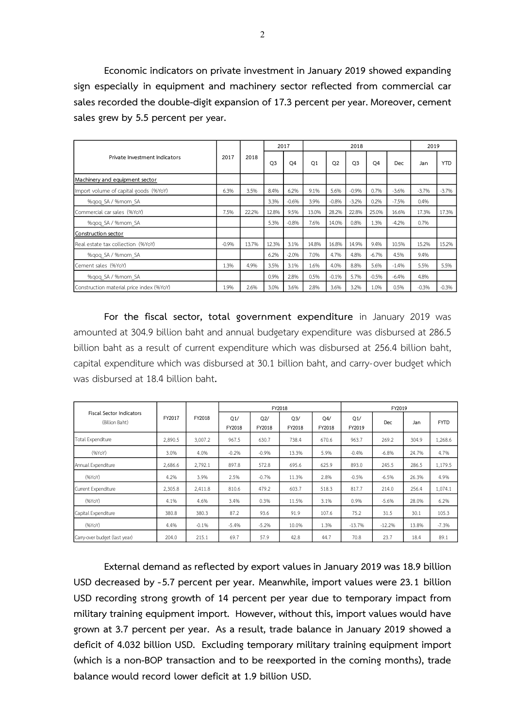**Economic indicators on private investment in January 2019 showed expanding sign especially in equipment and machinery sector reflected from commercial car sales** recorded the double-digit expansion of 17.3 percent per year. Moreover, cement **sales grew by 5.5 percent per year.**

|                                          | 2017    | 2018  |                | 2017    |                |                | 2018           |                |         | 2019    |            |  |
|------------------------------------------|---------|-------|----------------|---------|----------------|----------------|----------------|----------------|---------|---------|------------|--|
| Private Investment Indicators            |         |       | O <sub>3</sub> | O4      | O <sub>1</sub> | O <sub>2</sub> | O <sub>3</sub> | O <sub>4</sub> | Dec     | Jan     | <b>YTD</b> |  |
| Machinery and equipment sector           |         |       |                |         |                |                |                |                |         |         |            |  |
| Import volume of capital goods (%YoY)    | 6.3%    | 3.5%  | 8.4%           | 6.2%    | 9.1%           | 5.6%           | $-0.9%$        | 0.7%           | $-3.6%$ | $-3.7%$ | $-3.7%$    |  |
| %gog SA / %mom SA                        |         |       | 3.3%           | $-0.6%$ | 3.9%           | $-0.8%$        | $-3.2%$        | 0.2%           | $-7.5%$ | 0.4%    |            |  |
| Commercial car sales (%YoY)              | 7.5%    | 22.2% | 12.8%          | 9.5%    | 13.0%          | 28.2%          | 22.8%          | 25.0%          | 16.6%   | 17.3%   | 17.3%      |  |
| %gog SA / %mom SA                        |         |       | 5.3%           | $-0.8%$ | 7.6%           | 14.0%          | 0.8%           | 1.3%           | $-4.2%$ | 0.7%    |            |  |
| Construction sector                      |         |       |                |         |                |                |                |                |         |         |            |  |
| Real estate tax collection (%YoY)        | $-0.9%$ | 13.7% | 12.3%          | 3.1%    | 14.8%          | 16.8%          | 14.9%          | 9.4%           | 10.5%   | 15.2%   | 15.2%      |  |
| %gog SA / %mom SA                        |         |       | 6.2%           | $-2.0%$ | 7.0%           | 4.7%           | 4.8%           | $-6.7%$        | 4.5%    | 9.4%    |            |  |
| Cement sales (%YoY)                      | 1.3%    | 4.9%  | 3.5%           | 3.1%    | 1.6%           | 4.0%           | 8.8%           | 5.6%           | $-1.4%$ | 5.5%    | 5.5%       |  |
| %gog SA / %mom SA                        |         |       | 0.9%           | 2.8%    | 0.5%           | $-0.1%$        | 5.7%           | $-0.5%$        | $-6.4%$ | 4.8%    |            |  |
| Construction material price index (%YoY) | 1.9%    | 2.6%  | 3.0%           | 3.6%    | 2.8%           | 3.6%           | 3.2%           | 1.0%           | 0.5%    | $-0.3%$ | $-0.3%$    |  |

**For the fiscal sector, total government expenditure** in January 2019 was amounted at 304.9 billion baht and annual budgetary expenditure was disbursed at 286.5 billion baht as a result of current expenditure which was disbursed at 256.4 billion baht, capital expenditure which was disbursed at 30.1 billion baht, and carry-over budget which was disbursed at 18.4 billion baht**.**

|                                                   |         | FY2018  |               |               | FY2018        |               | FY2019        |            |       |             |  |  |
|---------------------------------------------------|---------|---------|---------------|---------------|---------------|---------------|---------------|------------|-------|-------------|--|--|
| <b>Fiscal Sector Indicators</b><br>(Billion Baht) | FY2017  |         | Q1/<br>FY2018 | Q2/<br>FY2018 | Q3/<br>FY2018 | Q4/<br>FY2018 | Q1/<br>FY2019 | <b>Dec</b> | Jan   | <b>FYTD</b> |  |  |
| Total Expenditure                                 | 2,890.5 | 3,007.2 | 967.5         | 630.7         | 738.4         | 670.6         | 963.7         | 269.2      | 304.9 | 1,268.6     |  |  |
| (96YoY)                                           | 3.0%    | 4.0%    | $-0.2%$       | $-0.9%$       | 13.3%         | 5.9%          | $-0.4%$       | $-6.8%$    | 24.7% | 4.7%        |  |  |
| Annual Expenditure                                | 2,686.6 | 2,792.1 | 897.8         | 572.8         | 695.6         | 625.9         | 893.0         | 245.5      | 286.5 | 1,179.5     |  |  |
| (96YoY)                                           | 4.2%    | 3.9%    | 2.5%          | $-0.7%$       | 11.3%         | 2.8%          | $-0.5%$       | $-6.5%$    | 26.3% | 4.9%        |  |  |
| Current Expenditure                               | 2,305.8 | 2,411.8 | 810.6         | 479.2         | 603.7         | 518.3         | 817.7         | 214.0      | 256.4 | 1,074.1     |  |  |
| (96YoY)                                           | 4.1%    | 4.6%    | 3.4%          | 0.3%          | 11.5%         | 3.1%          | 0.9%          | $-5.6%$    | 28.0% | 6.2%        |  |  |
| Capital Expenditure                               | 380.8   | 380.3   | 87.2          | 93.6          | 91.9          | 107.6         | 75.2          | 31.5       | 30.1  | 105.3       |  |  |
| (96YoY)                                           | 4.4%    | $-0.1%$ | $-5.4%$       | $-5.2%$       | 10.0%         | 1.3%          | $-13.7%$      | $-12.2%$   | 13.8% | $-7.3%$     |  |  |
| Carry-over budget (last year)                     | 204.0   | 215.1   | 69.7          | 57.9          | 42.8          | 44.7          | 70.8          | 23.7       | 18.4  | 89.1        |  |  |

**External demand as reflected by export values in January 2019 was 18.9 billion USD decreased by -5.7 percent per year. Meanwhile, import values were 23.1 billion USD recording strong growth of 14 percent per year due to temporary impact from military training equipment import. However, without this, import values would have grown at 3.7 percent per year. As a result, trade balance in January 2019 showed a deficit of 4.032 billion USD. Excluding temporary military training equipment import (which is a non-BOP transaction and to be reexported in the coming months), trade balance would record lower deficit at 1.9 billion USD.**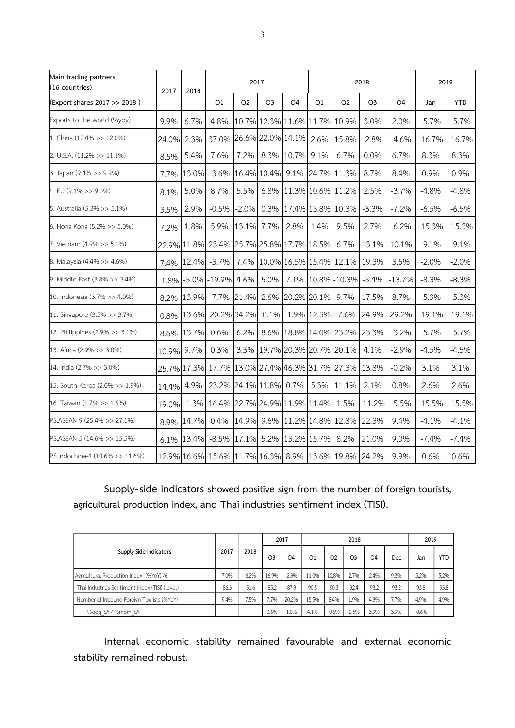| Main trading partners<br>(16 countries) | 2017    | 2018  | 2017<br>2018                                    |                |                |            |                         |                               |                |          |           | 2019       |  |  |
|-----------------------------------------|---------|-------|-------------------------------------------------|----------------|----------------|------------|-------------------------|-------------------------------|----------------|----------|-----------|------------|--|--|
| (Export shares 2017 >> 2018)            |         |       | Q1                                              | Q <sub>2</sub> | Q <sub>3</sub> | Q4         | Q1                      | Q <sub>2</sub>                | Q <sub>3</sub> | Q4       | Jan       | <b>YTD</b> |  |  |
| Exports to the world (%yoy)             | 9.9%    | 6.7%  | 4.8%                                            |                |                |            |                         | 10.7% 12.3% 11.6% 11.7% 10.9% | 3.0%           | 2.0%     | $-5.7%$   | $-5.7%$    |  |  |
| 1. China (12.4% >> 12.0%)               | 24.0%   | 2.3%  | 37.0% 26.6% 22.0% 14.1% 2.6%                    |                |                |            |                         | 15.8%                         | $-2.8%$        | $-4.6%$  | $-16.7\%$ | $-16.7%$   |  |  |
| 2. U.S.A. (11.2% >> 11.1%)              | 8.5%    | 5.4%  | 7.6%                                            | 7.2%           |                | 8.3% 10.7% | 9.1%                    | 6.7%                          | 0.0%           | 6.7%     | 8.3%      | 8.3%       |  |  |
| 3. Japan (9.4% >> 9.9%)                 | 7.7%    | 13.0% | $-3.6%$                                         |                | 16.4% 10.4%    | 9.1%       |                         | 24.7% 11.3%                   | 8.7%           | 8.4%     | 0.9%      | 0.9%       |  |  |
| 4. EU (9.1% >> 9.0%)                    | 8.1%    | 5.0%  | 8.7%                                            | 5.5%           |                |            | 6.8% 11.3% 10.6% 11.2%  |                               | 2.5%           | $-3.7%$  | $-4.8%$   | $-4.8%$    |  |  |
| 5. Australia (5.3% >> 5.1%)             | 3.5%    | 2.9%  | $-0.5%$                                         | $-2.0%$        |                |            |                         | 0.3% 17.4% 13.8% 10.3%        | $-3.3%$        | $-7.2%$  | $-6.5%$   | $-6.5%$    |  |  |
| 6. Hong Kong $(5.2\% >> 5.0\%)$         | 7.2%    | 1.8%  | 5.9%                                            | 13.1% 7.7%     |                | 2.8%       | 1.4%                    | 9.5%                          | 2.7%           | $-6.2%$  | $-15.3%$  | $-15.3%$   |  |  |
| 7. Vietnam (4.9% >> 5.1%)               |         |       | 22.9% 11.8% 23.4% 25.7% 25.8% 17.7% 18.5%       |                |                |            |                         | 6.7%                          | 13.1%          | 10.1%    | $-9.1%$   | $-9.1%$    |  |  |
| 8. Malaysia (4.4% >> 4.6%)              | 7.4%    | 12.4% | $-3.7%$                                         | 7.4%           |                |            |                         | 10.0% 16.5% 15.4% 12.1%       | 19.3%          | 3.5%     | $-2.0%$   | $-2.0%$    |  |  |
| 9. Middle East (3.8% >> 3.4%)           | $-1.8%$ |       | $-5.0\% -19.9\%$                                | 4.6%           | 5.0%           |            |                         | 7.1% 10.8% -10.3%             | $-5.4%$        | $-13.7%$ | $-8.3%$   | $-8.3%$    |  |  |
| 10. Indonesia (3.7% >> 4.0%)            | 8.2%    |       | 13.9% -7.7% 21.4% 2.6% 20.2% 20.1%              |                |                |            |                         | 9.7%                          | 17.5%          | 8.7%     | $-5.3%$   | $-5.3%$    |  |  |
| 11. Singapore (3.5% >> 3.7%)            | 0.8%    |       | 13.6% - 20.2% 34.2%                             |                |                |            | $-0.1\%$ $-1.9\%$ 12.3% | $-7.6%$                       | 24.9%          | 29.2%    | $-19.1%$  | $-19.1%$   |  |  |
| 12. Philippines (2.9% >> 3.1%)          | 8.6%    | 13.7% | 0.6%                                            | 6.2%           |                |            |                         | 8.6% 18.8% 14.0% 23.2%        | 23.3%          | $-3.2%$  | $-5.7%$   | $-5.7%$    |  |  |
| 13. Africa (2.9% >> 3.0%)               | 10.9%   | 9.7%  | 0.3%                                            |                |                |            |                         | 3.3% 19.7% 20.3% 20.7% 20.1%  | 4.1%           | $-2.9%$  | $-4.5%$   | $-4.5%$    |  |  |
| 14. India (2.7% >> 3.0%)                |         |       | 25.7% 17.3% 17.7% 13.0% 27.4% 46.3% 31.7% 27.3% |                |                |            |                         |                               | 13.8%          | $-0.2%$  | 3.1%      | 3.1%       |  |  |
| 15. South Korea (2.0% >> 1.9%)          | 14.4%   | 4.9%  | 23.2% 24.1% 11.8% 0.7%                          |                |                |            | 5.3%                    | 11.1%                         | 2.1%           | 0.8%     | 2.6%      | 2.6%       |  |  |
| 16. Taiwan (1.7% >> 1.6%)               | 19.0%   |       | $-1.3\%$ 16.4% 22.7% 24.9% 11.9% 11.4%          |                |                |            |                         | 1.5%                          | $-11.2%$       | $-5.5%$  | $-15.5%$  | $-15.5%$   |  |  |
| PS.ASEAN-9 (25.4% >> 27.1%)             | 8.9%    | 14.7% | 0.4%                                            |                |                |            |                         | 14.9% 9.6% 11.2% 14.8% 12.8%  | 22.3%          | 9.4%     | $-4.1%$   | $-4.1%$    |  |  |
| PS.ASEAN-5 (14.6% >> 15.5%)             | 6.1%    | 13.4% | $-8.5%$                                         |                |                |            | 17.1% 5.2% 13.2% 15.7%  | 8.2%                          | 21.0%          | 9.0%     | $-7.4%$   | $-7.4%$    |  |  |
| PS.Indochina-4 (10.6% >> 11.6%)         |         |       | 12.9% 16.6% 15.6% 11.7% 16.3% 8.9% 13.6% 19.8%  |                |                |            |                         |                               | 24.2%          | 9.9%     | 0.6%      | 0.6%       |  |  |

**Supply-side indicators showed positive sign from the number of foreign tourists, agricultural production index, and Thai industries sentiment index (TISI).**

| Supply Side Indicators                         | 2017 | 2018 | 2017  |         |       |                | 2019    |      |      |         |            |
|------------------------------------------------|------|------|-------|---------|-------|----------------|---------|------|------|---------|------------|
|                                                |      |      | Q3    | O4      | O1    | O <sub>2</sub> | O3      | O4   | Dec  | Jan     | <b>YTD</b> |
| Agricultural Production Index (%YoY) /6        | 7.0% | 6.2% | 16.9% | $-2.3%$ | 11.0% | 10.8%          | 2.7%    | 2.4% | 9.3% | 5.2%    | 5.2%       |
| Thai Industries Sentiment Index (TISI) (level) | 86.3 | 91.6 | 85.2  | 87.3    | 90.5  | 90.3           | 92.4    | 93.2 | 93.2 | 93.8    | 93.8       |
| Number of Inbound Foreign Tourists (%YoY)      | 9.4% | 7.5% | 7.7%  | 20.2%   | 15.5% | 8.4%           | 1.9%    | 4.3% | 7.7% | 4.9%    | 4.9%       |
| %gog SA / %mom SA                              |      |      | 3.6%  | 1.0%    | 4.1%  | $-0.6%$        | $-2.5%$ | 3.9% | 3.9% | $-0.6%$ |            |

**Internal economic stability remained favourable and external economic stability remained robust.**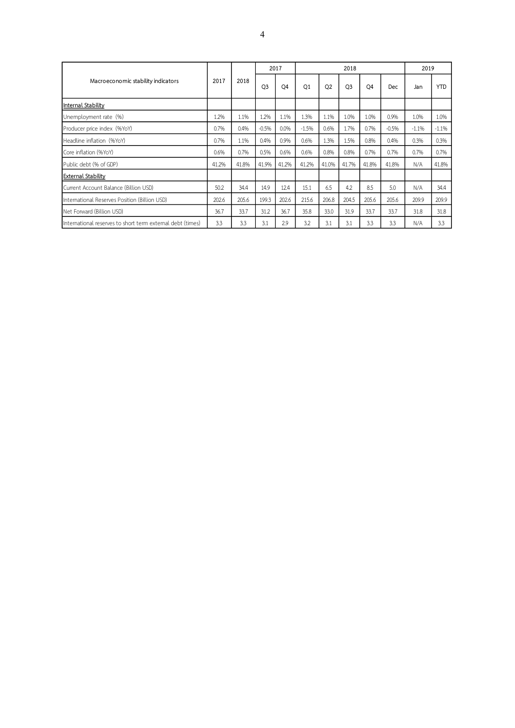| Macroeconomic stability indicators                         | 2017  | 2018  | 2017           |                |         |                | 2018           |                |         | 2019    |            |  |
|------------------------------------------------------------|-------|-------|----------------|----------------|---------|----------------|----------------|----------------|---------|---------|------------|--|
|                                                            |       |       | Q <sub>3</sub> | O <sub>4</sub> | Q1      | Q <sub>2</sub> | O <sub>3</sub> | O <sub>4</sub> | Dec     | Jan     | <b>YTD</b> |  |
| Internal Stability                                         |       |       |                |                |         |                |                |                |         |         |            |  |
| Unemployment rate (%)                                      | 1.2%  | 1.1%  | 1.2%           | 1.1%           | 1.3%    | 1.1%           | 1.0%           | 1.0%           | 0.9%    | 1.0%    | 1.0%       |  |
| Producer price index (%YoY)                                | 0.7%  | 0.4%  | $-0.5%$        | 0.0%           | $-1.5%$ | 0.6%           | 1.7%           | 0.7%           | $-0.5%$ | $-1.1%$ | $-1.1%$    |  |
| Headline inflation (%YoY)                                  | 0.7%  | 1.1%  | 0.4%           | 0.9%           | 0.6%    | 1.3%           | 1.5%           | 0.8%           | 0.4%    | 0.3%    | 0.3%       |  |
| Core inflation (%YoY)                                      | 0.6%  | 0.7%  | 0.5%           | 0.6%           | 0.6%    | 0.8%           | 0.8%           | 0.7%           | 0.7%    | 0.7%    | 0.7%       |  |
| Public debt (% of GDP)                                     | 41.2% | 41.8% | 41.9%          | 41.2%          | 41.2%   | 41.0%          | 41.7%          | 41.8%          | 41.8%   | N/A     | 41.8%      |  |
| <b>External Stability</b>                                  |       |       |                |                |         |                |                |                |         |         |            |  |
| Current Account Balance (Billion USD)                      | 50.2  | 34.4  | 14.9           | 12.4           | 15.1    | 6.5            | 4.2            | 8.5            | 5.0     | N/A     | 34.4       |  |
| International Reserves Position (Billion USD)              | 202.6 | 205.6 | 199.3          | 202.6          | 215.6   | 206.8          | 204.5          | 205.6          | 205.6   | 209.9   | 209.9      |  |
| Net Forward (Billion USD)                                  | 36.7  | 33.7  | 31.2           | 36.7           | 35.8    | 33.0           | 31.9           | 33.7           | 33.7    | 31.8    | 31.8       |  |
| International reserves to short term external debt (times) | 3.3   | 3.3   | 3.1            | 2.9            | 3.2     | 3.1            | 3.1            | 3.3            | 3.3     | N/A     | 3.3        |  |